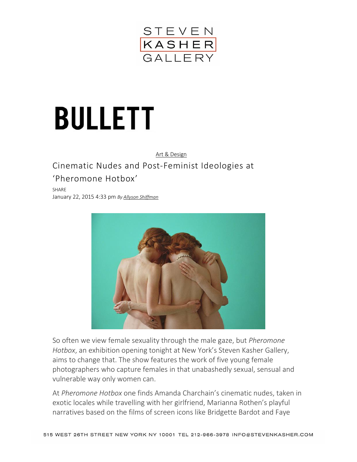

## **BULLETT**

## [Art & Design](http://bullettmedia.com/category/art-design/)

## Cinematic Nudes and Post-Feminist Ideologies at 'Pheromone Hotbox'

SHARE January 22, 2015 4:33 pm *By [Allyson Shiffman](http://bullettmedia.com/author/allyson-shiffman/)*



So often we view female sexuality through the male gaze, but *Pheromone Hotbox*, an exhibition opening tonight at New York's Steven Kasher Gallery, aims to change that. The show features the work of five young female photographers who capture females in that unabashedly sexual, sensual and vulnerable way only women can.

At *Pheromone Hotbox* one finds Amanda Charchain's cinematic nudes, taken in exotic locales while travelling with her girlfriend, Marianna Rothen's playful narratives based on the films of screen icons like Bridgette Bardot and Faye